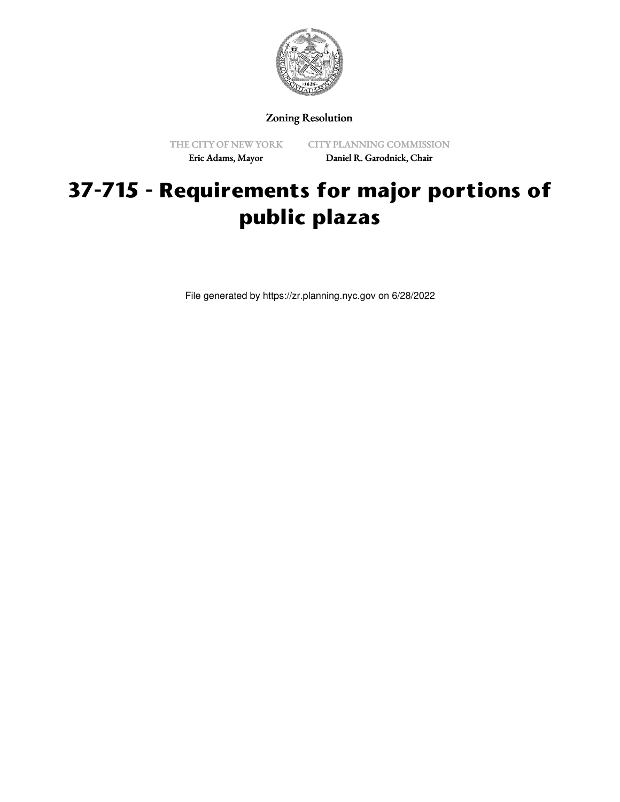

Zoning Resolution

THE CITY OF NEW YORK Eric Adams, Mayor

CITY PLANNING COMMISSION Daniel R. Garodnick, Chair

## **37-715 - Requirements for major portions of public plazas**

File generated by https://zr.planning.nyc.gov on 6/28/2022